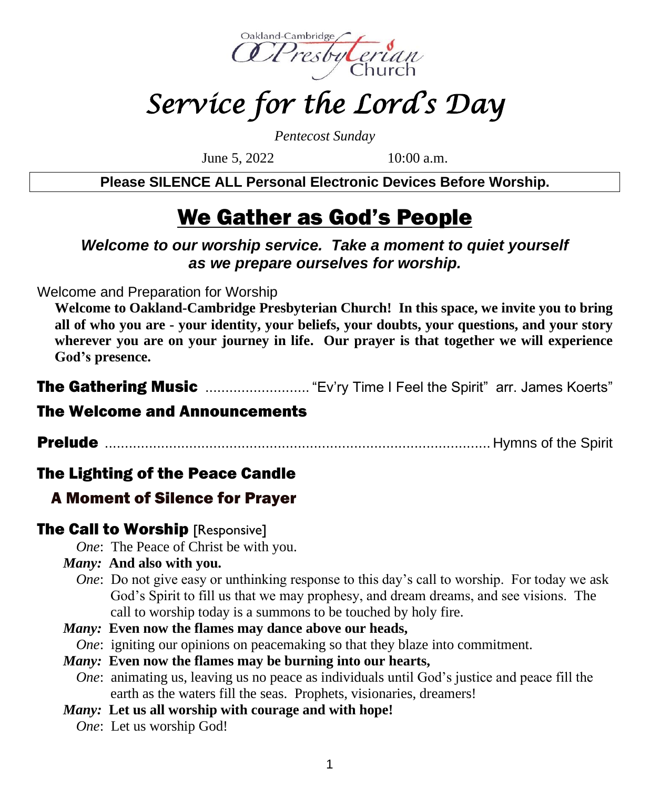

# *Service for the Lord's Day*

*Pentecost Sunday*

June 5, 2022 10:00 a.m.

**Please SILENCE ALL Personal Electronic Devices Before Worship.**

# We Gather as God's People

#### *Welcome to our worship service. Take a moment to quiet yourself as we prepare ourselves for worship.*

Welcome and Preparation for Worship

**Welcome to Oakland-Cambridge Presbyterian Church! In this space, we invite you to bring all of who you are - your identity, your beliefs, your doubts, your questions, and your story wherever you are on your journey in life. Our prayer is that together we will experience God's presence.**

The Gathering Music ............................... "Ev'ry Time I Feel the Spirit" arr. James Koerts"

#### The Welcome and Announcements

Prelude ................................................................................................ Hymns of the Spirit

### The Lighting of the Peace Candle

### A Moment of Silence for Prayer

### **The Call to Worship [Responsive]**

*One*: The Peace of Christ be with you.

#### *Many:* **And also with you.**

*One*: Do not give easy or unthinking response to this day's call to worship. For today we ask God's Spirit to fill us that we may prophesy, and dream dreams, and see visions. The call to worship today is a summons to be touched by holy fire.

#### *Many:* **Even now the flames may dance above our heads,**

*One*: igniting our opinions on peacemaking so that they blaze into commitment.

#### *Many:* **Even now the flames may be burning into our hearts,**

*One*: animating us, leaving us no peace as individuals until God's justice and peace fill the earth as the waters fill the seas. Prophets, visionaries, dreamers!

#### *Many:* **Let us all worship with courage and with hope!**

*One*: Let us worship God!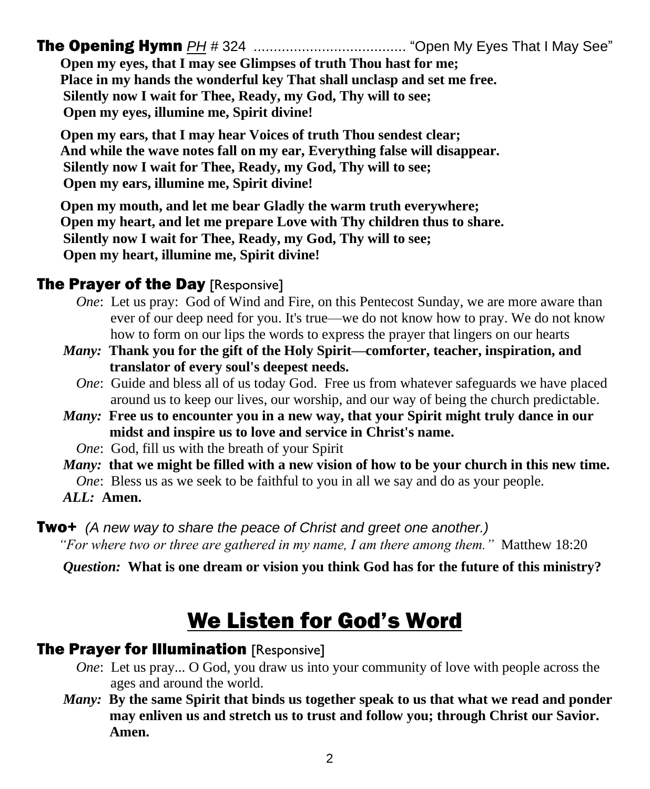The Opening Hymn *PH #* 324 ...................................... "Open My Eyes That I May See"

**Open my eyes, that I may see Glimpses of truth Thou hast for me; Place in my hands the wonderful key That shall unclasp and set me free. Silently now I wait for Thee, Ready, my God, Thy will to see; Open my eyes, illumine me, Spirit divine!**

**Open my ears, that I may hear Voices of truth Thou sendest clear; And while the wave notes fall on my ear, Everything false will disappear. Silently now I wait for Thee, Ready, my God, Thy will to see; Open my ears, illumine me, Spirit divine!**

**Open my mouth, and let me bear Gladly the warm truth everywhere; Open my heart, and let me prepare Love with Thy children thus to share. Silently now I wait for Thee, Ready, my God, Thy will to see; Open my heart, illumine me, Spirit divine!**

#### **The Prayer of the Day [Responsive]**

- *One*: Let us pray: God of Wind and Fire, on this Pentecost Sunday, we are more aware than ever of our deep need for you. It's true—we do not know how to pray. We do not know how to form on our lips the words to express the prayer that lingers on our hearts
- *Many:* **Thank you for the gift of the Holy Spirit—comforter, teacher, inspiration, and translator of every soul's deepest needs.**
	- *One*: Guide and bless all of us today God. Free us from whatever safeguards we have placed around us to keep our lives, our worship, and our way of being the church predictable.
- *Many:* **Free us to encounter you in a new way, that your Spirit might truly dance in our midst and inspire us to love and service in Christ's name.**
	- *One*: God, fill us with the breath of your Spirit
- *Many:* **that we might be filled with a new vision of how to be your church in this new time.** *One*: Bless us as we seek to be faithful to you in all we say and do as your people. *ALL:* **Amen.**

#### Two+ *(A new way to share the peace of Christ and greet one another.) "For where two or three are gathered in my name, I am there among them."* Matthew 18:20

*Question:* **What is one dream or vision you think God has for the future of this ministry?**

# We Listen for God's Word

#### **The Prayer for Illumination [Responsive]**

- *One*: Let us pray... O God, you draw us into your community of love with people across the ages and around the world.
- *Many:* **By the same Spirit that binds us together speak to us that what we read and ponder may enliven us and stretch us to trust and follow you; through Christ our Savior. Amen.**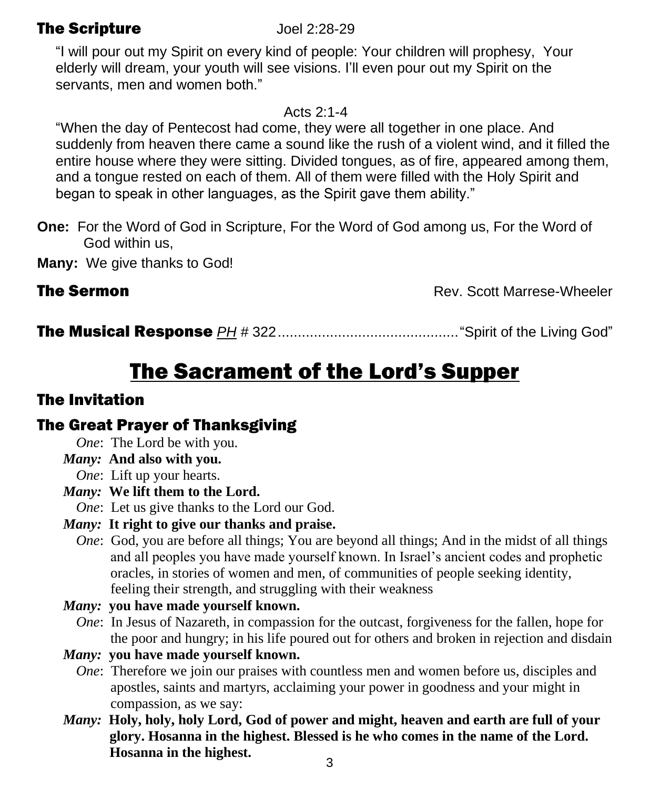### The Scripture Joel 2:28-29

"I will pour out my Spirit on every kind of people: Your children will prophesy, Your elderly will dream, your youth will see visions. I'll even pour out my Spirit on the servants, men and women both."

Acts 2:1-4

"When the day of Pentecost had come, they were all together in one place. And suddenly from heaven there came a sound like the rush of a violent wind, and it filled the entire house where they were sitting. Divided tongues, as of fire, appeared among them, and a tongue rested on each of them. All of them were filled with the Holy Spirit and began to speak in other languages, as the Spirit gave them ability."

**One:** For the Word of God in Scripture, For the Word of God among us, For the Word of God within us,

**Many:** We give thanks to God!

**The Sermon Rev. Scott Marrese-Wheeler** 

The Musical Response *PH #* 322............................................."Spirit of the Living God"

# The Sacrament of the Lord's Supper

# The Invitation

# The Great Prayer of Thanksgiving

*One*: The Lord be with you.

*Many:* **And also with you.**

- *One*: Lift up your hearts.
- *Many:* **We lift them to the Lord.**

*One*: Let us give thanks to the Lord our God.

#### *Many:* **It right to give our thanks and praise.**

*One*: God, you are before all things; You are beyond all things; And in the midst of all things and all peoples you have made yourself known. In Israel's ancient codes and prophetic oracles, in stories of women and men, of communities of people seeking identity, feeling their strength, and struggling with their weakness

#### *Many:* **you have made yourself known.**

*One*: In Jesus of Nazareth, in compassion for the outcast, forgiveness for the fallen, hope for the poor and hungry; in his life poured out for others and broken in rejection and disdain

#### *Many:* **you have made yourself known.**

- *One*: Therefore we join our praises with countless men and women before us, disciples and apostles, saints and martyrs, acclaiming your power in goodness and your might in compassion, as we say:
- *Many:* **Holy, holy, holy Lord, God of power and might, heaven and earth are full of your glory. Hosanna in the highest. Blessed is he who comes in the name of the Lord. Hosanna in the highest.** <sup>3</sup>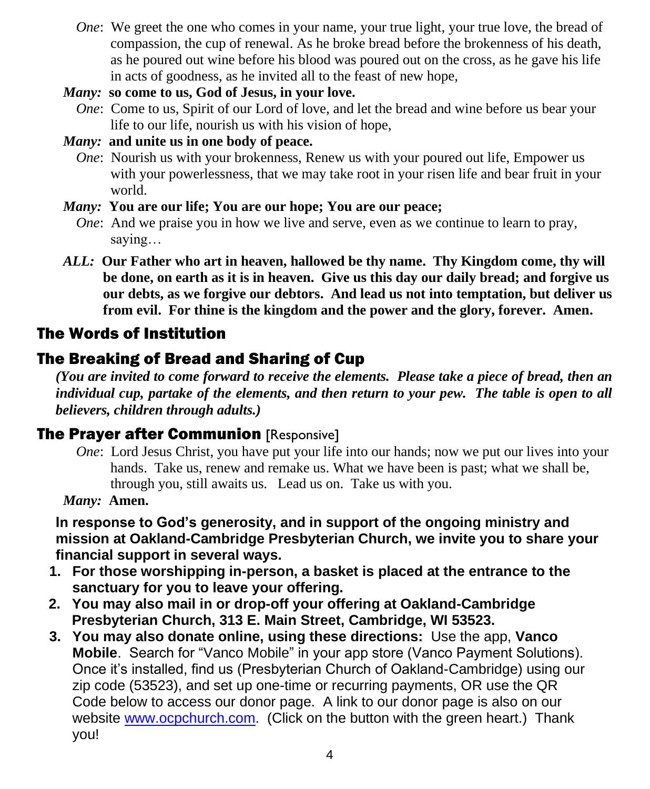- *One*: We greet the one who comes in your name, your true light, your true love, the bread of compassion, the cup of renewal. As he broke bread before the brokenness of his death, as he poured out wine before his blood was poured out on the cross, as he gave his life in acts of goodness, as he invited all to the feast of new hope,
- *Many:* **so come to us, God of Jesus, in your love.**
	- *One*: Come to us, Spirit of our Lord of love, and let the bread and wine before us bear your life to our life, nourish us with his vision of hope,
- *Many:* **and unite us in one body of peace.**
	- *One*: Nourish us with your brokenness, Renew us with your poured out life, Empower us with your powerlessness, that we may take root in your risen life and bear fruit in your world.
- *Many:* **You are our life; You are our hope; You are our peace;**
	- *One*: And we praise you in how we live and serve, even as we continue to learn to pray, saying…
- *ALL:* **Our Father who art in heaven, hallowed be thy name. Thy Kingdom come, thy will be done, on earth as it is in heaven. Give us this day our daily bread; and forgive us our debts, as we forgive our debtors. And lead us not into temptation, but deliver us from evil. For thine is the kingdom and the power and the glory, forever. Amen.**

# The Words of Institution

# The Breaking of Bread and Sharing of Cup

*(You are invited to come forward to receive the elements. Please take a piece of bread, then an individual cup, partake of the elements, and then return to your pew. The table is open to all believers, children through adults.)*

# **The Prayer after Communion [Responsive]**

*One*: Lord Jesus Christ, you have put your life into our hands; now we put our lives into your hands. Take us, renew and remake us. What we have been is past; what we shall be, through you, still awaits us. Lead us on. Take us with you.

*Many:* **Amen.**

**In response to God's generosity, and in support of the ongoing ministry and mission at Oakland-Cambridge Presbyterian Church, we invite you to share your financial support in several ways.** 

- **1. For those worshipping in-person, a basket is placed at the entrance to the sanctuary for you to leave your offering.**
- **2. You may also mail in or drop-off your offering at Oakland-Cambridge Presbyterian Church, 313 E. Main Street, Cambridge, WI 53523.**
- **3. You may also donate online, using these directions:** Use the app, **Vanco Mobile**. Search for "Vanco Mobile" in your app store (Vanco Payment Solutions). Once it's installed, find us (Presbyterian Church of Oakland-Cambridge) using our zip code (53523), and set up one-time or recurring payments, OR use the QR Code below to access our donor page. A link to our donor page is also on our website [www.ocpchurch.com.](http://www.ocpchurch.com/) (Click on the button with the green heart.) Thank you!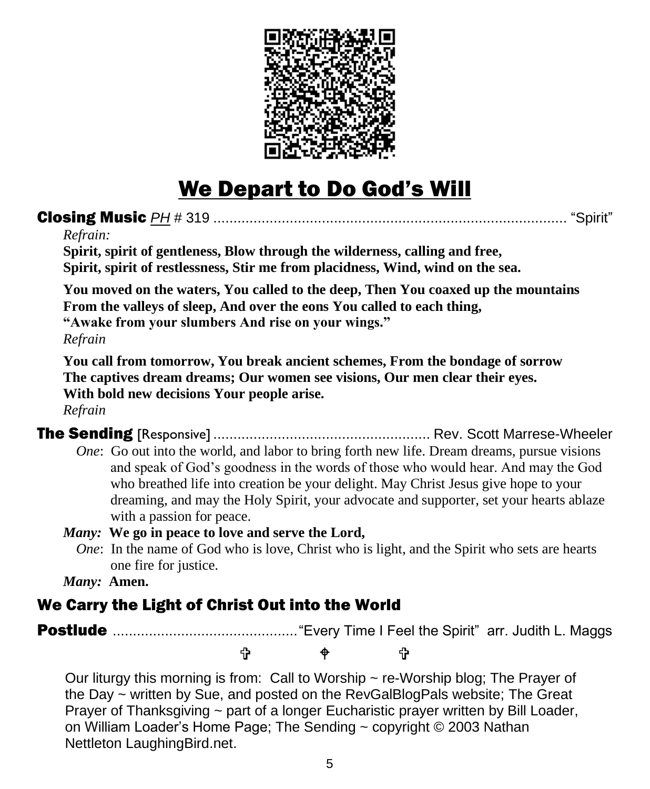

# We Depart to Do God's Will

### Closing Music *PH* # 319 ........................................................................................ "Spirit"

#### *Refrain:*

**Spirit, spirit of gentleness, Blow through the wilderness, calling and free, Spirit, spirit of restlessness, Stir me from placidness, Wind, wind on the sea.**

**You moved on the waters, You called to the deep, Then You coaxed up the mountains From the valleys of sleep, And over the eons You called to each thing, "Awake from your slumbers And rise on your wings."**

*Refrain*

**You call from tomorrow, You break ancient schemes, From the bondage of sorrow The captives dream dreams; Our women see visions, Our men clear their eyes. With bold new decisions Your people arise.**

*Refrain*

The Sending [Responsive] ...................................................... Rev. Scott Marrese-Wheeler

*One*: Go out into the world, and labor to bring forth new life. Dream dreams, pursue visions and speak of God's goodness in the words of those who would hear. And may the God who breathed life into creation be your delight. May Christ Jesus give hope to your dreaming, and may the Holy Spirit, your advocate and supporter, set your hearts ablaze with a passion for peace.

#### *Many:* **We go in peace to love and serve the Lord,**

*One*: In the name of God who is love, Christ who is light, and the Spirit who sets are hearts one fire for justice.

*Many:* **Amen.**

### We Carry the Light of Christ Out into the World

Postlude .............................................."Every Time I Feel the Spirit" arr. Judith L. Maggs

t ቀ t

Our liturgy this morning is from: Call to Worship  $\sim$  re-Worship blog; The Prayer of the Day ~ written by Sue, and posted on the RevGalBlogPals website; The Great Prayer of Thanksgiving  $\sim$  part of a longer Eucharistic prayer written by Bill Loader, on William Loader's Home Page; The Sending ~ copyright © 2003 Nathan Nettleton LaughingBird.net.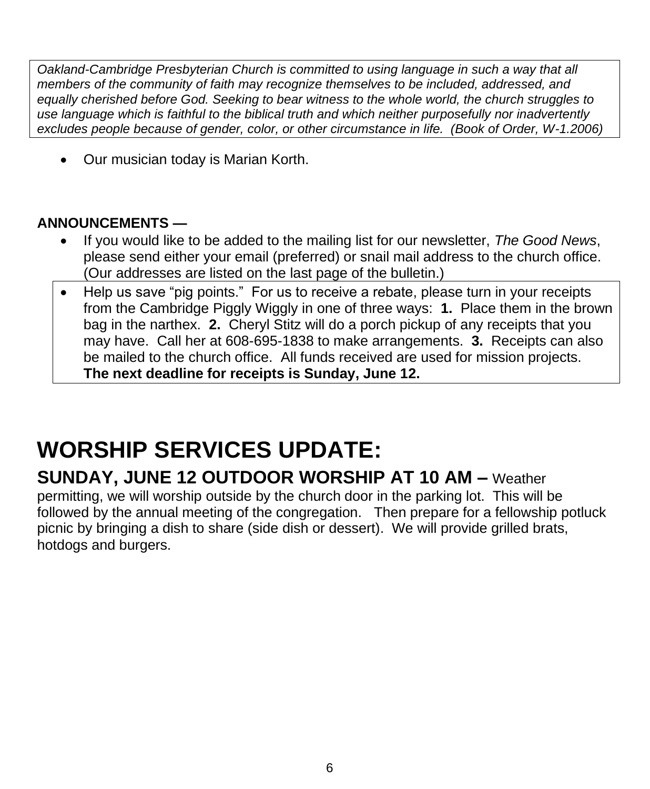*Oakland-Cambridge Presbyterian Church is committed to using language in such a way that all members of the community of faith may recognize themselves to be included, addressed, and equally cherished before God. Seeking to bear witness to the whole world, the church struggles to use language which is faithful to the biblical truth and which neither purposefully nor inadvertently excludes people because of gender, color, or other circumstance in life. (Book of Order, W-1.2006)*

• Our musician today is Marian Korth.

### **ANNOUNCEMENTS —**

- If you would like to be added to the mailing list for our newsletter, *The Good News*, please send either your email (preferred) or snail mail address to the church office. (Our addresses are listed on the last page of the bulletin.)
- Help us save "pig points." For us to receive a rebate, please turn in your receipts from the Cambridge Piggly Wiggly in one of three ways: **1.** Place them in the brown bag in the narthex. **2.** Cheryl Stitz will do a porch pickup of any receipts that you may have. Call her at 608-695-1838 to make arrangements. **3.** Receipts can also be mailed to the church office. All funds received are used for mission projects. **The next deadline for receipts is Sunday, June 12.**

# **WORSHIP SERVICES UPDATE:**

# **SUNDAY, JUNE 12 OUTDOOR WORSHIP AT 10 AM –** Weather

permitting, we will worship outside by the church door in the parking lot. This will be followed by the annual meeting of the congregation. Then prepare for a fellowship potluck picnic by bringing a dish to share (side dish or dessert). We will provide grilled brats, hotdogs and burgers.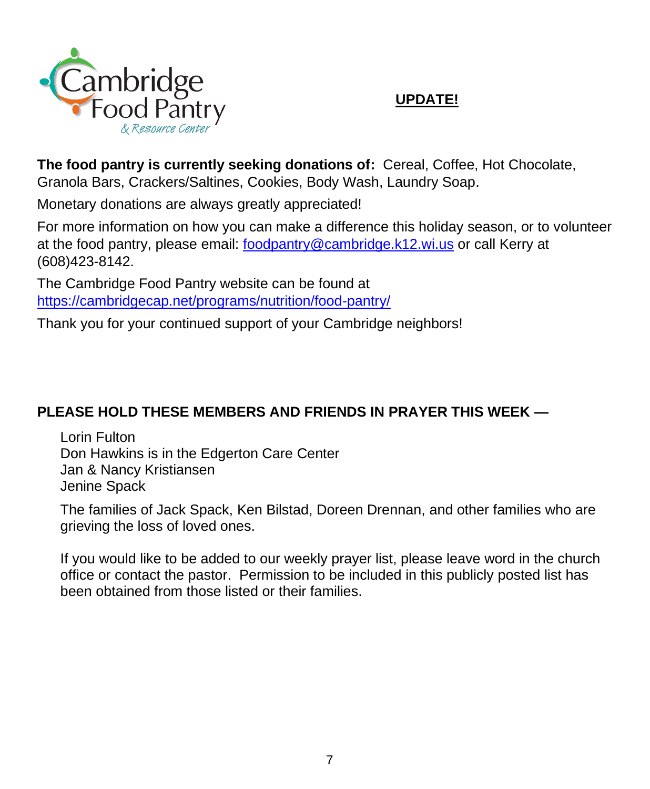

#### **UPDATE!**

**The food pantry is currently seeking donations of:** Cereal, Coffee, Hot Chocolate, Granola Bars, Crackers/Saltines, Cookies, Body Wash, Laundry Soap.

Monetary donations are always greatly appreciated!

For more information on how you can make a difference this holiday season, or to volunteer at the food pantry, please email: [foodpantry@cambridge.k12.wi.us](mailto:foodpantry@cambridge.k12.wi.us) or call Kerry at (608)423-8142.

The Cambridge Food Pantry website can be found at <https://cambridgecap.net/programs/nutrition/food-pantry/>

Thank you for your continued support of your Cambridge neighbors!

### **PLEASE HOLD THESE MEMBERS AND FRIENDS IN PRAYER THIS WEEK —**

Lorin Fulton Don Hawkins is in the Edgerton Care Center Jan & Nancy Kristiansen Jenine Spack

The families of Jack Spack, Ken Bilstad, Doreen Drennan, and other families who are grieving the loss of loved ones.

If you would like to be added to our weekly prayer list, please leave word in the church office or contact the pastor. Permission to be included in this publicly posted list has been obtained from those listed or their families.